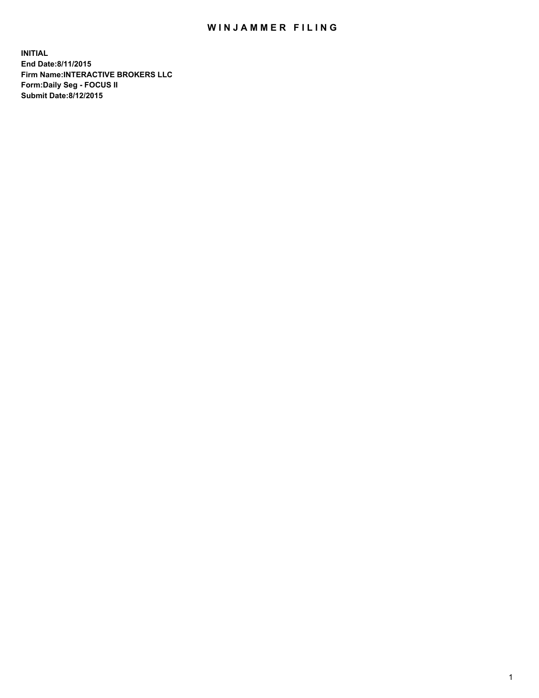## WIN JAMMER FILING

**INITIAL End Date:8/11/2015 Firm Name:INTERACTIVE BROKERS LLC Form:Daily Seg - FOCUS II Submit Date:8/12/2015**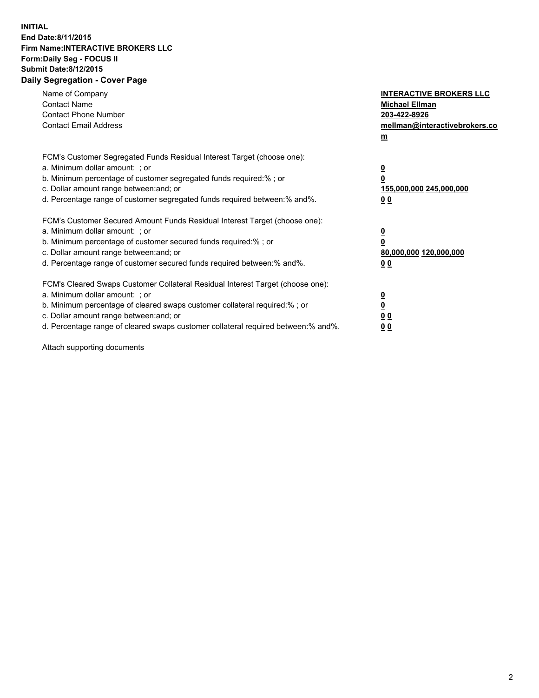## **INITIAL End Date:8/11/2015 Firm Name:INTERACTIVE BROKERS LLC Form:Daily Seg - FOCUS II Submit Date:8/12/2015 Daily Segregation - Cover Page**

| Name of Company<br><b>Contact Name</b><br><b>Contact Phone Number</b><br><b>Contact Email Address</b>                                                                                                                                                                                                                          | <b>INTERACTIVE BROKERS LLC</b><br><b>Michael Ellman</b><br>203-422-8926<br>mellman@interactivebrokers.co<br>$\mathbf{m}$ |
|--------------------------------------------------------------------------------------------------------------------------------------------------------------------------------------------------------------------------------------------------------------------------------------------------------------------------------|--------------------------------------------------------------------------------------------------------------------------|
| FCM's Customer Segregated Funds Residual Interest Target (choose one):<br>a. Minimum dollar amount: ; or<br>b. Minimum percentage of customer segregated funds required:% ; or<br>c. Dollar amount range between: and; or<br>d. Percentage range of customer segregated funds required between: % and %.                       | $\overline{\mathbf{0}}$<br>0<br>155,000,000 245,000,000<br>00                                                            |
| FCM's Customer Secured Amount Funds Residual Interest Target (choose one):<br>a. Minimum dollar amount: ; or<br>b. Minimum percentage of customer secured funds required:%; or<br>c. Dollar amount range between: and; or<br>d. Percentage range of customer secured funds required between: % and %.                          | $\overline{\mathbf{0}}$<br>0<br>80,000,000 120,000,000<br>00                                                             |
| FCM's Cleared Swaps Customer Collateral Residual Interest Target (choose one):<br>a. Minimum dollar amount: ; or<br>b. Minimum percentage of cleared swaps customer collateral required:% ; or<br>c. Dollar amount range between: and; or<br>d. Percentage range of cleared swaps customer collateral required between:% and%. | $\overline{\mathbf{0}}$<br>$\overline{\mathbf{0}}$<br>00<br>0 <sub>0</sub>                                               |

Attach supporting documents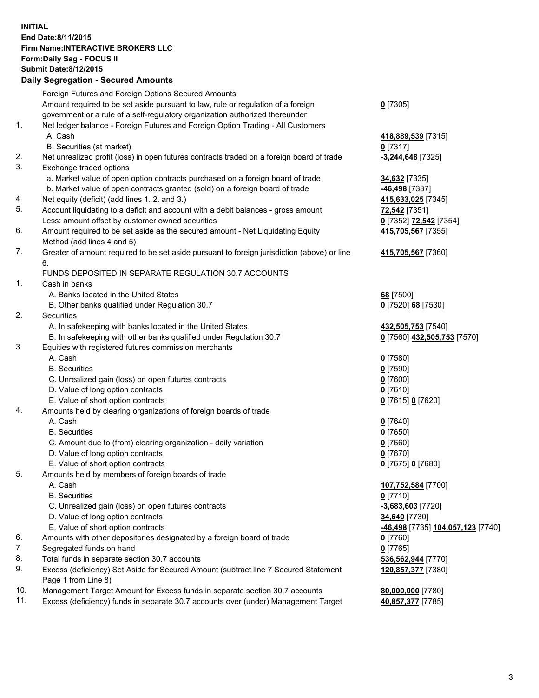## **INITIAL End Date:8/11/2015 Firm Name:INTERACTIVE BROKERS LLC Form:Daily Seg - FOCUS II Submit Date:8/12/2015 Daily Segregation - Secured Amounts**

|     | Dany Ocgregation - Oceanea Annoanta                                                         |                                                |
|-----|---------------------------------------------------------------------------------------------|------------------------------------------------|
|     | Foreign Futures and Foreign Options Secured Amounts                                         |                                                |
|     | Amount required to be set aside pursuant to law, rule or regulation of a foreign            | $0$ [7305]                                     |
|     | government or a rule of a self-regulatory organization authorized thereunder                |                                                |
| 1.  | Net ledger balance - Foreign Futures and Foreign Option Trading - All Customers             |                                                |
|     | A. Cash                                                                                     | 418,889,539 [7315]                             |
|     | B. Securities (at market)                                                                   | $0$ [7317]                                     |
| 2.  | Net unrealized profit (loss) in open futures contracts traded on a foreign board of trade   | $-3,244,648$ [7325]                            |
| 3.  | Exchange traded options                                                                     |                                                |
|     | a. Market value of open option contracts purchased on a foreign board of trade              | 34,632 [7335]                                  |
|     | b. Market value of open contracts granted (sold) on a foreign board of trade                | -46,498 [7337]                                 |
| 4.  | Net equity (deficit) (add lines 1.2. and 3.)                                                | 415,633,025 [7345]                             |
| 5.  | Account liquidating to a deficit and account with a debit balances - gross amount           | <b>72,542</b> [7351]                           |
|     | Less: amount offset by customer owned securities                                            | 0 [7352] 72,542 [7354]                         |
| 6.  | Amount required to be set aside as the secured amount - Net Liquidating Equity              | 415,705,567 [7355]                             |
|     | Method (add lines 4 and 5)                                                                  |                                                |
| 7.  | Greater of amount required to be set aside pursuant to foreign jurisdiction (above) or line | 415,705,567 [7360]                             |
|     | 6.                                                                                          |                                                |
|     | FUNDS DEPOSITED IN SEPARATE REGULATION 30.7 ACCOUNTS                                        |                                                |
| 1.  | Cash in banks                                                                               |                                                |
|     | A. Banks located in the United States                                                       | 68 [7500]                                      |
|     | B. Other banks qualified under Regulation 30.7                                              | 0 [7520] 68 [7530]                             |
| 2.  | Securities                                                                                  |                                                |
|     | A. In safekeeping with banks located in the United States                                   | 432,505,753 [7540]                             |
|     | B. In safekeeping with other banks qualified under Regulation 30.7                          | 0 [7560] 432,505,753 [7570]                    |
| 3.  | Equities with registered futures commission merchants                                       |                                                |
|     | A. Cash                                                                                     | $0$ [7580]                                     |
|     | <b>B.</b> Securities                                                                        | $0$ [7590]                                     |
|     | C. Unrealized gain (loss) on open futures contracts                                         | $0$ [7600]                                     |
|     | D. Value of long option contracts                                                           | $0$ [7610]                                     |
|     | E. Value of short option contracts                                                          | 0 [7615] 0 [7620]                              |
| 4.  | Amounts held by clearing organizations of foreign boards of trade                           |                                                |
|     | A. Cash                                                                                     | $0$ [7640]                                     |
|     | <b>B.</b> Securities                                                                        | $0$ [7650]                                     |
|     | C. Amount due to (from) clearing organization - daily variation                             | $0$ [7660]                                     |
|     | D. Value of long option contracts                                                           | $0$ [7670]                                     |
|     | E. Value of short option contracts                                                          | 0 [7675] 0 [7680]                              |
| 5.  | Amounts held by members of foreign boards of trade                                          |                                                |
|     | A. Cash                                                                                     | 107,752,584 [7700]                             |
|     | <b>B.</b> Securities                                                                        | $0$ [7710]                                     |
|     | C. Unrealized gain (loss) on open futures contracts                                         | -3,683,603 [7720]                              |
|     | D. Value of long option contracts                                                           | 34,640 [7730]                                  |
|     | E. Value of short option contracts                                                          | <mark>-46,498</mark> [7735] 104,057,123 [7740] |
| 6.  | Amounts with other depositories designated by a foreign board of trade                      | $0$ [7760]                                     |
| 7.  | Segregated funds on hand                                                                    | $0$ [7765]                                     |
| 8.  | Total funds in separate section 30.7 accounts                                               | 536,562,944 [7770]                             |
| 9.  | Excess (deficiency) Set Aside for Secured Amount (subtract line 7 Secured Statement         | 120,857,377 [7380]                             |
|     | Page 1 from Line 8)                                                                         |                                                |
| 10. | Management Target Amount for Excess funds in separate section 30.7 accounts                 | 80,000,000 [7780]                              |
| 11. | Excess (deficiency) funds in separate 30.7 accounts over (under) Management Target          | 40,857,377 [7785]                              |
|     |                                                                                             |                                                |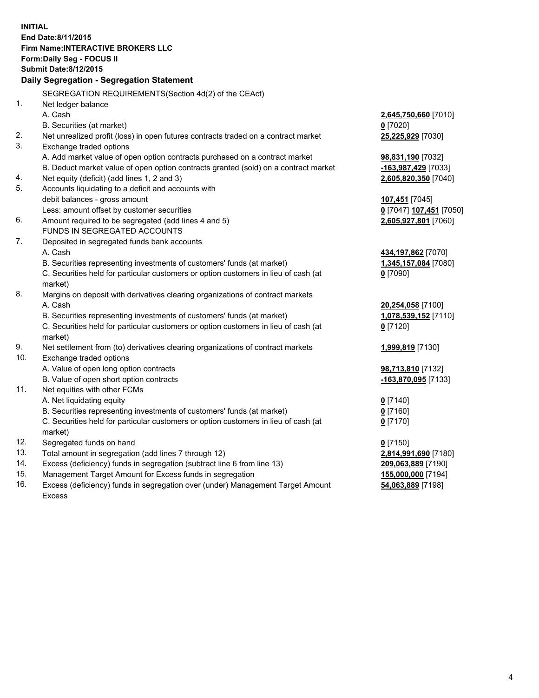**INITIAL End Date:8/11/2015 Firm Name:INTERACTIVE BROKERS LLC Form:Daily Seg - FOCUS II Submit Date:8/12/2015 Daily Segregation - Segregation Statement** SEGREGATION REQUIREMENTS(Section 4d(2) of the CEAct) 1. Net ledger balance A. Cash **2,645,750,660** [7010] B. Securities (at market) **0** [7020] 2. Net unrealized profit (loss) in open futures contracts traded on a contract market **25,225,929** [7030] 3. Exchange traded options A. Add market value of open option contracts purchased on a contract market **98,831,190** [7032] B. Deduct market value of open option contracts granted (sold) on a contract market **-163,987,429** [7033] 4. Net equity (deficit) (add lines 1, 2 and 3) **2,605,820,350** [7040] 5. Accounts liquidating to a deficit and accounts with debit balances - gross amount **107,451** [7045] Less: amount offset by customer securities **0** [7047] **107,451** [7050] 6. Amount required to be segregated (add lines 4 and 5) **2,605,927,801** [7060] FUNDS IN SEGREGATED ACCOUNTS 7. Deposited in segregated funds bank accounts A. Cash **434,197,862** [7070] B. Securities representing investments of customers' funds (at market) **1,345,157,084** [7080] C. Securities held for particular customers or option customers in lieu of cash (at market) **0** [7090] 8. Margins on deposit with derivatives clearing organizations of contract markets A. Cash **20,254,058** [7100] B. Securities representing investments of customers' funds (at market) **1,078,539,152** [7110] C. Securities held for particular customers or option customers in lieu of cash (at market) **0** [7120] 9. Net settlement from (to) derivatives clearing organizations of contract markets **1,999,819** [7130] 10. Exchange traded options A. Value of open long option contracts **98,713,810** [7132] B. Value of open short option contracts **-163,870,095** [7133] 11. Net equities with other FCMs A. Net liquidating equity **0** [7140] B. Securities representing investments of customers' funds (at market) **0** [7160] C. Securities held for particular customers or option customers in lieu of cash (at market) **0** [7170] 12. Segregated funds on hand **0** [7150] 13. Total amount in segregation (add lines 7 through 12) **2,814,991,690** [7180] 14. Excess (deficiency) funds in segregation (subtract line 6 from line 13) **209,063,889** [7190] 15. Management Target Amount for Excess funds in segregation **155,000,000** [7194] **54,063,889** [7198]

16. Excess (deficiency) funds in segregation over (under) Management Target Amount Excess